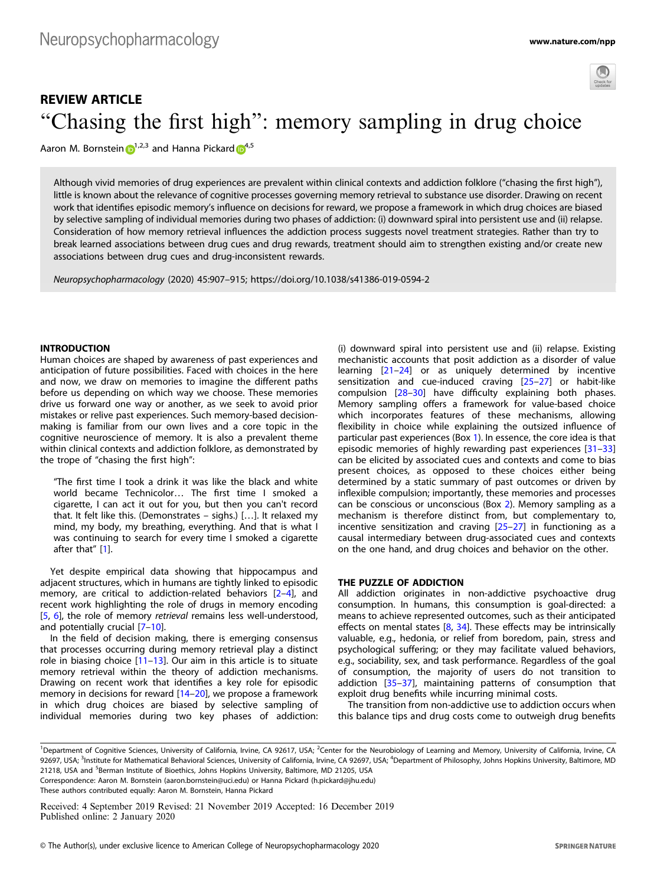

# REVIEW ARTICLE "Chasing the first high": memory sampling in drug choice

Aaron M. Bornstein  $\mathbb{D}^{1,2,3}$  $\mathbb{D}^{1,2,3}$  $\mathbb{D}^{1,2,3}$  and Hanna Pickard  $\mathbb{D}^{4,5}$  $\mathbb{D}^{4,5}$  $\mathbb{D}^{4,5}$ 

Although vivid memories of drug experiences are prevalent within clinical contexts and addiction folklore ("chasing the first high"), little is known about the relevance of cognitive processes governing memory retrieval to substance use disorder. Drawing on recent work that identifies episodic memory's influence on decisions for reward, we propose a framework in which drug choices are biased by selective sampling of individual memories during two phases of addiction: (i) downward spiral into persistent use and (ii) relapse. Consideration of how memory retrieval influences the addiction process suggests novel treatment strategies. Rather than try to break learned associations between drug cues and drug rewards, treatment should aim to strengthen existing and/or create new associations between drug cues and drug-inconsistent rewards.

Neuropsychopharmacology (2020) 45:907–915; https://doi.org/10.1038/s41386-019-0594-2

## **INTRODUCTION**

Human choices are shaped by awareness of past experiences and anticipation of future possibilities. Faced with choices in the here and now, we draw on memories to imagine the different paths before us depending on which way we choose. These memories drive us forward one way or another, as we seek to avoid prior mistakes or relive past experiences. Such memory-based decisionmaking is familiar from our own lives and a core topic in the cognitive neuroscience of memory. It is also a prevalent theme within clinical contexts and addiction folklore, as demonstrated by the trope of "chasing the first high":

"The first time I took a drink it was like the black and white world became Technicolor… The first time I smoked a cigarette, I can act it out for you, but then you can't record that. It felt like this. (Demonstrates – sighs.) […]. It relaxed my mind, my body, my breathing, everything. And that is what I was continuing to search for every time I smoked a cigarette after that" [[1](#page-6-0)].

Yet despite empirical data showing that hippocampus and adjacent structures, which in humans are tightly linked to episodic memory, are critical to addiction-related behaviors [[2](#page-6-0)–[4](#page-6-0)], and recent work highlighting the role of drugs in memory encoding [\[5,](#page-6-0) [6\]](#page-6-0), the role of memory retrieval remains less well-understood, and potentially crucial [[7](#page-6-0)–[10\]](#page-6-0).

In the field of decision making, there is emerging consensus that processes occurring during memory retrieval play a distinct role in biasing choice [\[11](#page-6-0)–[13\]](#page-6-0). Our aim in this article is to situate memory retrieval within the theory of addiction mechanisms. Drawing on recent work that identifies a key role for episodic memory in decisions for reward [\[14](#page-6-0)–[20](#page-6-0)], we propose a framework in which drug choices are biased by selective sampling of individual memories during two key phases of addiction: (i) downward spiral into persistent use and (ii) relapse. Existing mechanistic accounts that posit addiction as a disorder of value learning [[21](#page-6-0)–[24\]](#page-6-0) or as uniquely determined by incentive sensitization and cue-induced craving [[25](#page-6-0)–[27\]](#page-6-0) or habit-like compulsion [\[28](#page-7-0)–[30\]](#page-7-0) have difficulty explaining both phases. Memory sampling offers a framework for value-based choice which incorporates features of these mechanisms, allowing flexibility in choice while explaining the outsized influence of particular past experiences (Box 1). In essence, the core idea is that episodic memories of highly rewarding past experiences [[31](#page-7-0)–[33](#page-7-0)] can be elicited by associated cues and contexts and come to bias present choices, as opposed to these choices either being determined by a static summary of past outcomes or driven by inflexible compulsion; importantly, these memories and processes can be conscious or unconscious (Box 2). Memory sampling as a mechanism is therefore distinct from, but complementary to, incentive sensitization and craving [[25](#page-6-0)–[27](#page-6-0)] in functioning as a causal intermediary between drug-associated cues and contexts on the one hand, and drug choices and behavior on the other.

## THE PUZZLE OF ADDICTION

All addiction originates in non-addictive psychoactive drug consumption. In humans, this consumption is goal-directed: a means to achieve represented outcomes, such as their anticipated effects on mental states [\[8](#page-6-0), [34\]](#page-7-0). These effects may be intrinsically valuable, e.g., hedonia, or relief from boredom, pain, stress and psychological suffering; or they may facilitate valued behaviors, e.g., sociability, sex, and task performance. Regardless of the goal of consumption, the majority of users do not transition to addiction [\[35](#page-7-0)–[37](#page-7-0)], maintaining patterns of consumption that exploit drug benefits while incurring minimal costs.

The transition from non-addictive use to addiction occurs when this balance tips and drug costs come to outweigh drug benefits

Received: 4 September 2019 Revised: 21 November 2019 Accepted: 16 December 2019 Published online: 2 January 2020

<sup>&</sup>lt;sup>1</sup>Department of Cognitive Sciences, University of California, Irvine, CA 92617, USA; <sup>2</sup>Center for the Neurobiology of Learning and Memory, University of California, Irvine, CA 92697, USA; <sup>3</sup>Institute for Mathematical Behavioral Sciences, University of California, Irvine, CA 92697, USA; <sup>4</sup>Department of Philosophy, Johns Hopkins University, Baltimore, MD 21218, USA and <sup>5</sup>Berman Institute of Bioethics, Johns Hopkins University, Baltimore, MD 21205, USA

Correspondence: Aaron M. Bornstein ([aaron.bornstein@uci.edu\)](mailto:aaron.bornstein@uci.edu) or Hanna Pickard [\(h.pickard@jhu.edu\)](mailto:h.pickard@jhu.edu) These authors contributed equally: Aaron M. Bornstein, Hanna Pickard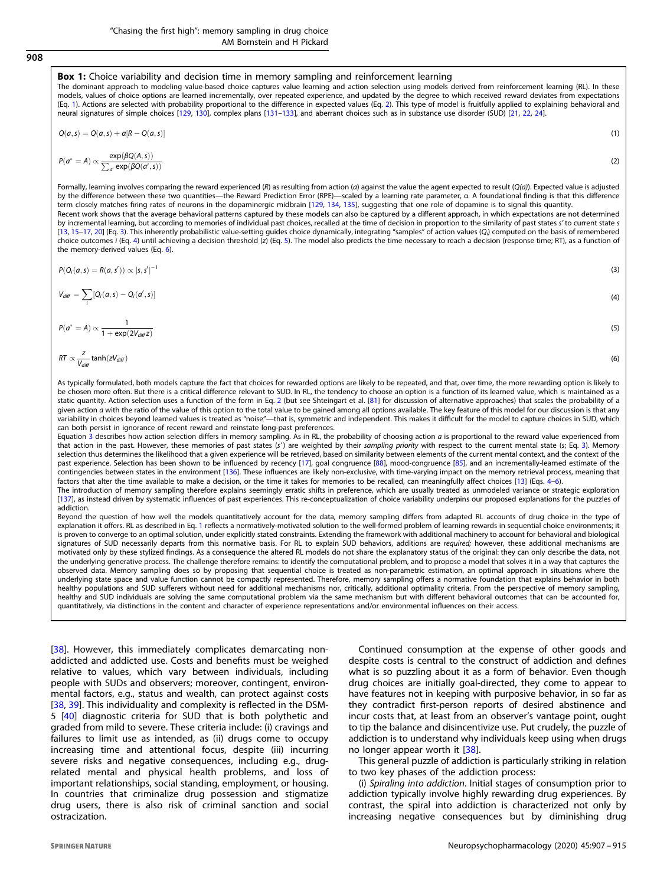## 908

#### **Box 1:** Choice variability and decision time in memory sampling and reinforcement learning

The dominant approach to modeling value-based choice captures value learning and action selection using models derived from reinforcement learning (RL). In these models, values of choice options are learned incrementally, over repeated experience, and updated by the degree to which received reward deviates from expectations (Eq. 1). Actions are selected with probability proportional to the difference in expected values (Eq. 2). This type of model is fruitfully applied to explaining behavioral and neural signatures of simple choices [[129,](#page-8-0) [130](#page-8-0)], complex plans [[131](#page-8-0)–[133\]](#page-8-0), and aberrant choices such as in substance use disorder (SUD) [\[21](#page-6-0), [22](#page-6-0), [24\]](#page-6-0).

$$
Q(a,s) = Q(a,s) + a[R - Q(a,s)] \tag{1}
$$

$$
P(a^* = A) \propto \frac{\exp(\beta Q(A, s))}{\sum_{a'} \exp(\beta Q(a', s))}
$$
\n(2)

Formally, learning involves comparing the reward experienced (R) as resulting from action (a) against the value the agent expected to result (Q(a)). Expected value is adjusted by the difference between these two quantities—the Reward Prediction Error (RPE)—scaled by a learning rate parameter, α. A foundational finding is that this difference term closely matches firing rates of neurons in the dopaminergic midbrain [[129,](#page-8-0) [134](#page-8-0), [135](#page-8-0)], suggesting that one role of dopamine is to signal this quantity. Recent work shows that the average behavioral patterns captured by these models can also be captured by a different approach, in which expectations are not determined by incremental learning, but according to memories of individual past choices, recalled at the time of decision in proportion to the similarity of past states s' to current state s [\[13](#page-6-0), [15](#page-6-0)–[17](#page-6-0), [20](#page-6-0)] (Eq. 3). This inherently probabilistic value-setting guides choice dynamically, integrating "samples" of action values (Qi ) computed on the basis of remembered choice outcomes i (Eq. 4) until achieving a decision threshold (z) (Eq. 5). The model also predicts the time necessary to reach a decision (response time; RT), as a function of the memory-derived values (Eq. 6).

$$
P(Q_i(a,s) = R(a,s')) \propto |s,s'|^{-1}
$$
\n(3)  
\n
$$
V_{diff} = \sum [Q_i(a,s) - Q_i(a',s)]
$$
\n(4)

$$
P(a^* = A) \propto \frac{1}{1 + \exp(2V_{diff}z)}
$$
\n(5)

$$
RT \propto \frac{z}{V_{diff}} \tanh(zV_{diff}) \tag{6}
$$

i

As typically formulated, both models capture the fact that choices for rewarded options are likely to be repeated, and that, over time, the more rewarding option is likely to be chosen more often. But there is a critical difference relevant to SUD. In RL, the tendency to choose an option is a function of its learned value, which is maintained as a static quantity. Action selection uses a function of the form in Eq. 2 (but see Shteingart et al. [\[81\]](#page-7-0) for discussion of alternative approaches) that scales the probability of a given action a with the ratio of the value of this option to the total value to be gained among all options available. The key feature of this model for our discussion is that any variability in choices beyond learned values is treated as "noise"—that is, symmetric and independent. This makes it difficult for the model to capture choices in SUD, which can both persist in ignorance of recent reward and reinstate long-past preferences.

Equation 3 describes how action selection differs in memory sampling. As in RL, the probability of choosing action a is proportional to the reward value experienced from that action in the past. However, these memories of past states (s') are weighted by their sampling priority with respect to the current mental state (s; Eq. 3). Memory selection thus determines the likelihood that a given experience will be retrieved, based on similarity between elements of the current mental context, and the context of the past experience. Selection has been shown to be influenced by recency [[17](#page-6-0)], goal congruence [[88\]](#page-7-0), mood-congruence [[85\]](#page-7-0), and an incrementally-learned estimate of the contingencies between states in the environment [\[136\]](#page-8-0). These influences are likely non-exclusive, with time-varying impact on the memory retrieval process, meaning that factors that alter the time available to make a decision, or the time it takes for memories to be recalled, can meaningfully affect choices [[13\]](#page-6-0) (Eqs. 4–6). The introduction of memory sampling therefore explains seemingly erratic shifts in preference, which are usually treated as unmodeled variance or strategic exploration

[\[137\]](#page-8-0), as instead driven by systematic influences of past experiences. This re-conceptualization of choice variability underpins our proposed explanations for the puzzles of addiction.

Beyond the question of how well the models quantitatively account for the data, memory sampling differs from adapted RL accounts of drug choice in the type of explanation it offers. RL as described in Eq. 1 reflects a normatively-motivated solution to the well-formed problem of learning rewards in sequential choice environments; it is proven to converge to an optimal solution, under explicitly stated constraints. Extending the framework with additional machinery to account for behavioral and biological signatures of SUD necessarily departs from this normative basis. For RL to explain SUD behaviors, additions are required; however, these additional mechanisms are motivated only by these stylized findings. As a consequence the altered RL models do not share the explanatory status of the original: they can only describe the data, not the underlying generative process. The challenge therefore remains: to identify the computational problem, and to propose a model that solves it in a way that captures the observed data. Memory sampling does so by proposing that sequential choice is treated as non-parametric estimation, an optimal approach in situations where the underlying state space and value function cannot be compactly represented. Therefore, memory sampling offers a normative foundation that explains behavior in both healthy populations and SUD sufferers without need for additional mechanisms nor, critically, additional optimality criteria. From the perspective of memory sampling, healthy and SUD individuals are solving the same computational problem via the same mechanism but with different behavioral outcomes that can be accounted for, quantitatively, via distinctions in the content and character of experience representations and/or environmental influences on their access.

[[38](#page-7-0)]. However, this immediately complicates demarcating nonaddicted and addicted use. Costs and benefits must be weighed relative to values, which vary between individuals, including people with SUDs and observers; moreover, contingent, environmental factors, e.g., status and wealth, can protect against costs [[38](#page-7-0), [39\]](#page-7-0). This individuality and complexity is reflected in the DSM-5 [\[40](#page-7-0)] diagnostic criteria for SUD that is both polythetic and graded from mild to severe. These criteria include: (i) cravings and failures to limit use as intended, as (ii) drugs come to occupy increasing time and attentional focus, despite (iii) incurring severe risks and negative consequences, including e.g., drugrelated mental and physical health problems, and loss of important relationships, social standing, employment, or housing. In countries that criminalize drug possession and stigmatize drug users, there is also risk of criminal sanction and social ostracization.

Continued consumption at the expense of other goods and despite costs is central to the construct of addiction and defines what is so puzzling about it as a form of behavior. Even though drug choices are initially goal-directed, they come to appear to have features not in keeping with purposive behavior, in so far as they contradict first-person reports of desired abstinence and incur costs that, at least from an observer's vantage point, ought to tip the balance and disincentivize use. Put crudely, the puzzle of addiction is to understand why individuals keep using when drugs no longer appear worth it [[38](#page-7-0)].

This general puzzle of addiction is particularly striking in relation to two key phases of the addiction process:

(i) Spiraling into addiction. Initial stages of consumption prior to addiction typically involve highly rewarding drug experiences. By contrast, the spiral into addiction is characterized not only by increasing negative consequences but by diminishing drug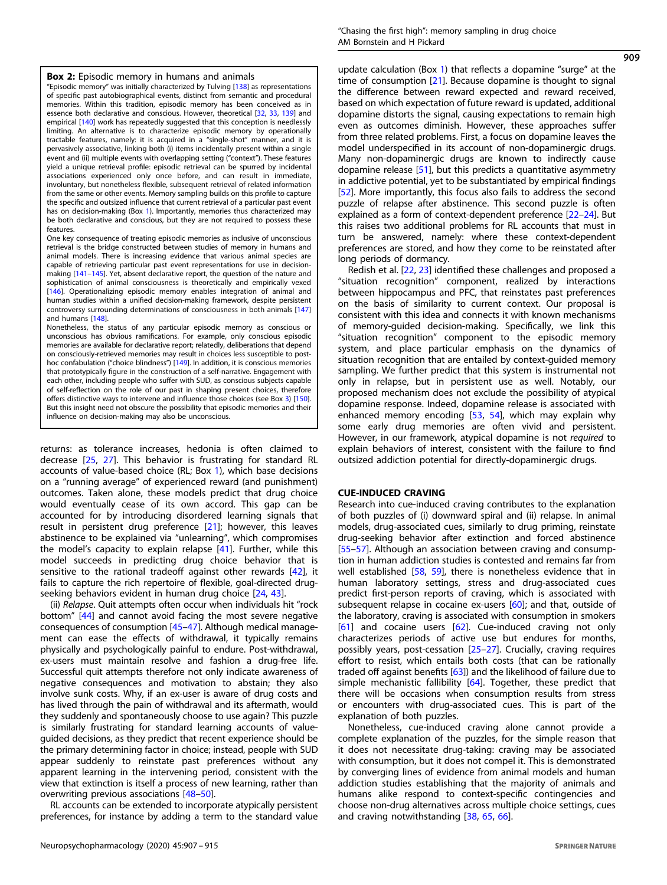#### **Box 2:** Episodic memory in humans and animals

"Episodic memory" was initially characterized by Tulving [\[138\]](#page-8-0) as representations of specific past autobiographical events, distinct from semantic and procedural memories. Within this tradition, episodic memory has been conceived as in essence both declarative and conscious. However, theoretical [[32,](#page-7-0) [33,](#page-7-0) [139](#page-8-0)] and empirical [[140](#page-8-0)] work has repeatedly suggested that this conception is needlessly limiting. An alternative is to characterize episodic memory by operationally tractable features, namely: it is acquired in a "single-shot" manner, and it is pervasively associative, linking both (i) items incidentally present within a single event and (ii) multiple events with overlapping setting ("context"). These features yield a unique retrieval profile: episodic retrieval can be spurred by incidental associations experienced only once before, and can result in immediate, involuntary, but nonetheless flexible, subsequent retrieval of related information from the same or other events. Memory sampling builds on this profile to capture the specific and outsized influence that current retrieval of a particular past event has on decision-making (Box 1). Importantly, memories thus characterized may be both declarative and conscious, but they are not required to possess these features.

One key consequence of treating episodic memories as inclusive of unconscious retrieval is the bridge constructed between studies of memory in humans and animal models. There is increasing evidence that various animal species are capable of retrieving particular past event representations for use in decisionmaking [[141](#page-8-0)–[145](#page-8-0)]. Yet, absent declarative report, the question of the nature and sophistication of animal consciousness is theoretically and empirically vexed [[146](#page-8-0)]. Operationalizing episodic memory enables integration of animal and human studies within a unified decision-making framework, despite persistent controversy surrounding determinations of consciousness in both animals [\[147\]](#page-8-0) and humans [\[148\]](#page-8-0).

Nonetheless, the status of any particular episodic memory as conscious or unconscious has obvious ramifications. For example, only conscious episodic memories are available for declarative report; relatedly, deliberations that depend on consciously-retrieved memories may result in choices less susceptible to posthoc confabulation ("choice blindness") [[149](#page-8-0)]. In addition, it is conscious memories that prototypically figure in the construction of a self-narrative. Engagement with each other, including people who suffer with SUD, as conscious subjects capable of self-reflection on the role of our past in shaping present choices, therefore offers distinctive ways to intervene and influence those choices (see Box 3) [\[150\]](#page-8-0). But this insight need not obscure the possibility that episodic memories and their influence on decision-making may also be unconscious.

returns: as tolerance increases, hedonia is often claimed to decrease [\[25,](#page-6-0) [27](#page-6-0)]. This behavior is frustrating for standard RL accounts of value-based choice (RL; Box 1), which base decisions on a "running average" of experienced reward (and punishment) outcomes. Taken alone, these models predict that drug choice would eventually cease of its own accord. This gap can be accounted for by introducing disordered learning signals that result in persistent drug preference [\[21](#page-6-0)]; however, this leaves abstinence to be explained via "unlearning", which compromises the model's capacity to explain relapse [\[41](#page-7-0)]. Further, while this model succeeds in predicting drug choice behavior that is sensitive to the rational tradeoff against other rewards [\[42](#page-7-0)], it fails to capture the rich repertoire of flexible, goal-directed drugseeking behaviors evident in human drug choice [\[24](#page-6-0), [43](#page-7-0)].

(ii) Relapse. Quit attempts often occur when individuals hit "rock bottom" [[44\]](#page-7-0) and cannot avoid facing the most severe negative consequences of consumption [\[45](#page-7-0)–[47\]](#page-7-0). Although medical management can ease the effects of withdrawal, it typically remains physically and psychologically painful to endure. Post-withdrawal, ex-users must maintain resolve and fashion a drug-free life. Successful quit attempts therefore not only indicate awareness of negative consequences and motivation to abstain; they also involve sunk costs. Why, if an ex-user is aware of drug costs and has lived through the pain of withdrawal and its aftermath, would they suddenly and spontaneously choose to use again? This puzzle is similarly frustrating for standard learning accounts of valueguided decisions, as they predict that recent experience should be the primary determining factor in choice; instead, people with SUD appear suddenly to reinstate past preferences without any apparent learning in the intervening period, consistent with the view that extinction is itself a process of new learning, rather than overwriting previous associations [[48](#page-7-0)–[50](#page-7-0)].

RL accounts can be extended to incorporate atypically persistent preferences, for instance by adding a term to the standard value 909

update calculation (Box 1) that reflects a dopamine "surge" at the time of consumption [\[21](#page-6-0)]. Because dopamine is thought to signal the difference between reward expected and reward received, based on which expectation of future reward is updated, additional dopamine distorts the signal, causing expectations to remain high even as outcomes diminish. However, these approaches suffer from three related problems. First, a focus on dopamine leaves the model underspecified in its account of non-dopaminergic drugs. Many non-dopaminergic drugs are known to indirectly cause dopamine release [[51\]](#page-7-0), but this predicts a quantitative asymmetry in addictive potential, yet to be substantiated by empirical findings [\[52](#page-7-0)]. More importantly, this focus also fails to address the second puzzle of relapse after abstinence. This second puzzle is often explained as a form of context-dependent preference [[22](#page-6-0)–[24](#page-6-0)]. But this raises two additional problems for RL accounts that must in turn be answered, namely: where these context-dependent preferences are stored, and how they come to be reinstated after long periods of dormancy.

Redish et al. [[22,](#page-6-0) [23](#page-6-0)] identified these challenges and proposed a "situation recognition" component, realized by interactions between hippocampus and PFC, that reinstates past preferences on the basis of similarity to current context. Our proposal is consistent with this idea and connects it with known mechanisms of memory-guided decision-making. Specifically, we link this "situation recognition" component to the episodic memory system, and place particular emphasis on the dynamics of situation recognition that are entailed by context-guided memory sampling. We further predict that this system is instrumental not only in relapse, but in persistent use as well. Notably, our proposed mechanism does not exclude the possibility of atypical dopamine response. Indeed, dopamine release is associated with enhanced memory encoding [[53,](#page-7-0) [54](#page-7-0)], which may explain why some early drug memories are often vivid and persistent. However, in our framework, atypical dopamine is not required to explain behaviors of interest, consistent with the failure to find outsized addiction potential for directly-dopaminergic drugs.

#### CUE-INDUCED CRAVING

Research into cue-induced craving contributes to the explanation of both puzzles of (i) downward spiral and (ii) relapse. In animal models, drug-associated cues, similarly to drug priming, reinstate drug-seeking behavior after extinction and forced abstinence [\[55](#page-7-0)–[57](#page-7-0)]. Although an association between craving and consumption in human addiction studies is contested and remains far from well established [\[58](#page-7-0), [59](#page-7-0)], there is nonetheless evidence that in human laboratory settings, stress and drug-associated cues predict first-person reports of craving, which is associated with subsequent relapse in cocaine ex-users [\[60](#page-7-0)]; and that, outside of the laboratory, craving is associated with consumption in smokers [\[61\]](#page-7-0) and cocaine users [[62\]](#page-7-0). Cue-induced craving not only characterizes periods of active use but endures for months, possibly years, post-cessation [[25](#page-6-0)–[27\]](#page-6-0). Crucially, craving requires effort to resist, which entails both costs (that can be rationally traded off against benefits [[63\]](#page-7-0)) and the likelihood of failure due to simple mechanistic fallibility [[64\]](#page-7-0). Together, these predict that there will be occasions when consumption results from stress or encounters with drug-associated cues. This is part of the explanation of both puzzles.

Nonetheless, cue-induced craving alone cannot provide a complete explanation of the puzzles, for the simple reason that it does not necessitate drug-taking: craving may be associated with consumption, but it does not compel it. This is demonstrated by converging lines of evidence from animal models and human addiction studies establishing that the majority of animals and humans alike respond to context-specific contingencies and choose non-drug alternatives across multiple choice settings, cues and craving notwithstanding [[38](#page-7-0), [65,](#page-7-0) [66\]](#page-7-0).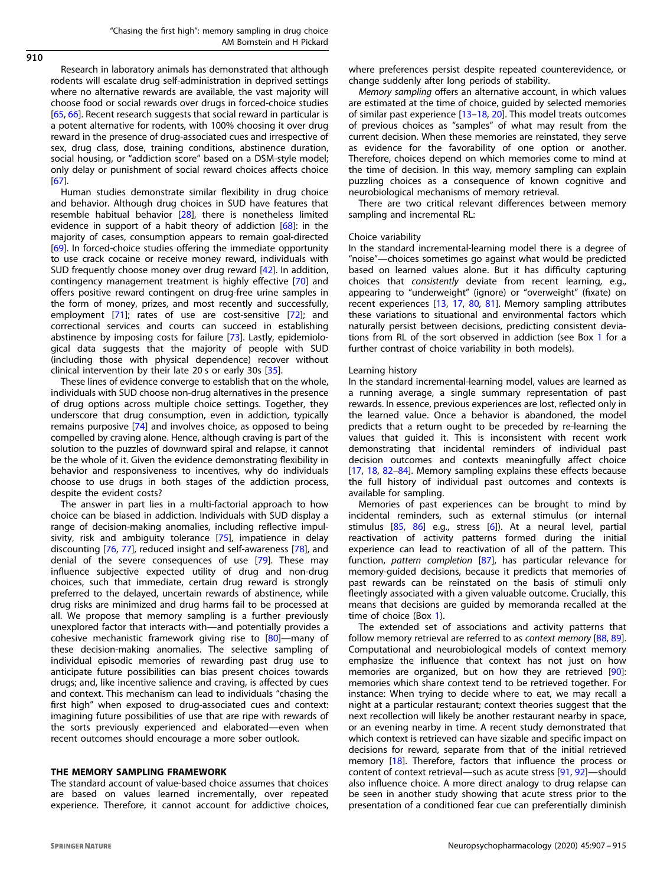$910$ 

Research in laboratory animals has demonstrated that although rodents will escalate drug self-administration in deprived settings where no alternative rewards are available, the vast majority will choose food or social rewards over drugs in forced-choice studies [[65,](#page-7-0) [66](#page-7-0)]. Recent research suggests that social reward in particular is a potent alternative for rodents, with 100% choosing it over drug reward in the presence of drug-associated cues and irrespective of sex, drug class, dose, training conditions, abstinence duration, social housing, or "addiction score" based on a DSM-style model; only delay or punishment of social reward choices affects choice [[67\]](#page-7-0).

Human studies demonstrate similar flexibility in drug choice and behavior. Although drug choices in SUD have features that resemble habitual behavior [[28\]](#page-7-0), there is nonetheless limited evidence in support of a habit theory of addiction [\[68\]](#page-7-0): in the majority of cases, consumption appears to remain goal-directed [[69\]](#page-7-0). In forced-choice studies offering the immediate opportunity to use crack cocaine or receive money reward, individuals with SUD frequently choose money over drug reward [[42\]](#page-7-0). In addition, contingency management treatment is highly effective [[70](#page-7-0)] and offers positive reward contingent on drug-free urine samples in the form of money, prizes, and most recently and successfully, employment [\[71\]](#page-7-0); rates of use are cost-sensitive [[72](#page-7-0)]; and correctional services and courts can succeed in establishing abstinence by imposing costs for failure [\[73](#page-7-0)]. Lastly, epidemiological data suggests that the majority of people with SUD (including those with physical dependence) recover without clinical intervention by their late 20 s or early 30s [\[35](#page-7-0)].

These lines of evidence converge to establish that on the whole, individuals with SUD choose non-drug alternatives in the presence of drug options across multiple choice settings. Together, they underscore that drug consumption, even in addiction, typically remains purposive [\[74\]](#page-7-0) and involves choice, as opposed to being compelled by craving alone. Hence, although craving is part of the solution to the puzzles of downward spiral and relapse, it cannot be the whole of it. Given the evidence demonstrating flexibility in behavior and responsiveness to incentives, why do individuals choose to use drugs in both stages of the addiction process, despite the evident costs?

The answer in part lies in a multi-factorial approach to how choice can be biased in addiction. Individuals with SUD display a range of decision-making anomalies, including reflective impul-sivity, risk and ambiguity tolerance [\[75](#page-7-0)], impatience in delay discounting [[76,](#page-7-0) [77\]](#page-7-0), reduced insight and self-awareness [[78](#page-7-0)], and denial of the severe consequences of use [\[79](#page-7-0)]. These may influence subjective expected utility of drug and non-drug choices, such that immediate, certain drug reward is strongly preferred to the delayed, uncertain rewards of abstinence, while drug risks are minimized and drug harms fail to be processed at all. We propose that memory sampling is a further previously unexplored factor that interacts with—and potentially provides a cohesive mechanistic framework giving rise to [\[80\]](#page-7-0)—many of these decision-making anomalies. The selective sampling of individual episodic memories of rewarding past drug use to anticipate future possibilities can bias present choices towards drugs; and, like incentive salience and craving, is affected by cues and context. This mechanism can lead to individuals "chasing the first high" when exposed to drug-associated cues and context: imagining future possibilities of use that are ripe with rewards of the sorts previously experienced and elaborated—even when recent outcomes should encourage a more sober outlook.

#### THE MEMORY SAMPLING FRAMEWORK

The standard account of value-based choice assumes that choices are based on values learned incrementally, over repeated experience. Therefore, it cannot account for addictive choices, where preferences persist despite repeated counterevidence, or change suddenly after long periods of stability.

Memory sampling offers an alternative account, in which values are estimated at the time of choice, guided by selected memories of similar past experience [\[13](#page-6-0)–[18](#page-6-0), [20](#page-6-0)]. This model treats outcomes of previous choices as "samples" of what may result from the current decision. When these memories are reinstated, they serve as evidence for the favorability of one option or another. Therefore, choices depend on which memories come to mind at the time of decision. In this way, memory sampling can explain puzzling choices as a consequence of known cognitive and neurobiological mechanisms of memory retrieval.

There are two critical relevant differences between memory sampling and incremental RL:

#### Choice variability

In the standard incremental-learning model there is a degree of "noise"—choices sometimes go against what would be predicted based on learned values alone. But it has difficulty capturing choices that consistently deviate from recent learning, e.g., appearing to "underweight" (ignore) or "overweight" (fixate) on recent experiences [[13,](#page-6-0) [17](#page-6-0), [80,](#page-7-0) [81\]](#page-7-0). Memory sampling attributes these variations to situational and environmental factors which naturally persist between decisions, predicting consistent deviations from RL of the sort observed in addiction (see Box 1 for a further contrast of choice variability in both models).

## Learning history

In the standard incremental-learning model, values are learned as a running average, a single summary representation of past rewards. In essence, previous experiences are lost, reflected only in the learned value. Once a behavior is abandoned, the model predicts that a return ought to be preceded by re-learning the values that guided it. This is inconsistent with recent work demonstrating that incidental reminders of individual past decision outcomes and contexts meaningfully affect choice [[17,](#page-6-0) [18](#page-6-0), [82](#page-7-0)–[84\]](#page-7-0). Memory sampling explains these effects because the full history of individual past outcomes and contexts is available for sampling.

Memories of past experiences can be brought to mind by incidental reminders, such as external stimulus (or internal stimulus [\[85,](#page-7-0) [86\]](#page-7-0) e.g., stress [[6](#page-6-0)]). At a neural level, partial reactivation of activity patterns formed during the initial experience can lead to reactivation of all of the pattern. This function, pattern completion [[87](#page-7-0)], has particular relevance for memory-guided decisions, because it predicts that memories of past rewards can be reinstated on the basis of stimuli only fleetingly associated with a given valuable outcome. Crucially, this means that decisions are guided by memoranda recalled at the time of choice (Box 1).

The extended set of associations and activity patterns that follow memory retrieval are referred to as context memory [[88,](#page-7-0) [89](#page-7-0)]. Computational and neurobiological models of context memory emphasize the influence that context has not just on how memories are organized, but on how they are retrieved [[90](#page-7-0)]: memories which share context tend to be retrieved together. For instance: When trying to decide where to eat, we may recall a night at a particular restaurant; context theories suggest that the next recollection will likely be another restaurant nearby in space, or an evening nearby in time. A recent study demonstrated that which context is retrieved can have sizable and specific impact on decisions for reward, separate from that of the initial retrieved memory [\[18](#page-6-0)]. Therefore, factors that influence the process or content of context retrieval—such as acute stress [\[91](#page-7-0), [92\]](#page-7-0)—should also influence choice. A more direct analogy to drug relapse can be seen in another study showing that acute stress prior to the presentation of a conditioned fear cue can preferentially diminish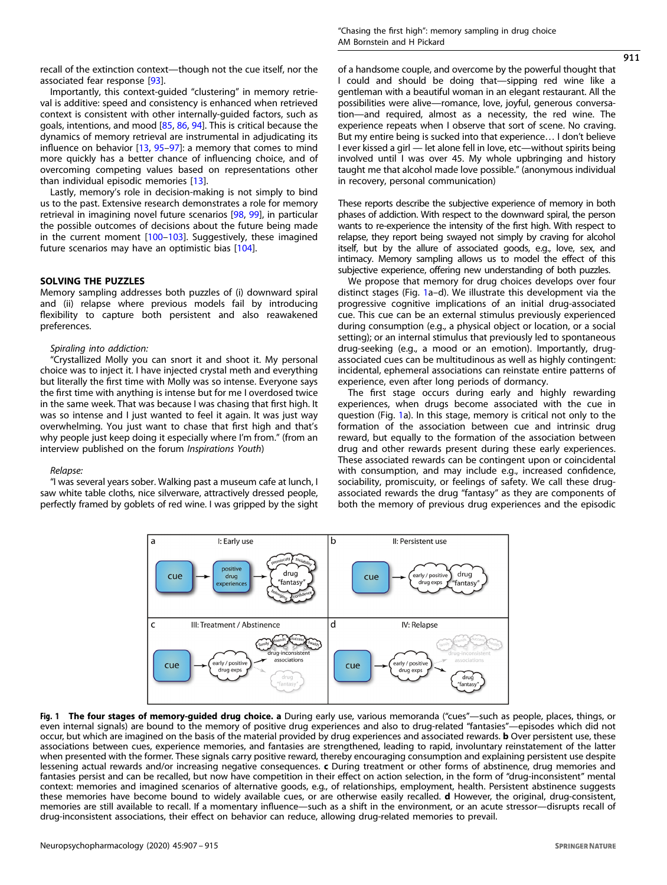<span id="page-4-0"></span>recall of the extinction context—though not the cue itself, nor the associated fear response [\[93\]](#page-7-0).

Importantly, this context-guided "clustering" in memory retrieval is additive: speed and consistency is enhanced when retrieved context is consistent with other internally-guided factors, such as goals, intentions, and mood [[85](#page-7-0), [86](#page-7-0), [94](#page-7-0)]. This is critical because the dynamics of memory retrieval are instrumental in adjudicating its influence on behavior [[13](#page-6-0), [95](#page-7-0)-[97](#page-7-0)]: a memory that comes to mind more quickly has a better chance of influencing choice, and of overcoming competing values based on representations other than individual episodic memories [\[13\]](#page-6-0).

Lastly, memory's role in decision-making is not simply to bind us to the past. Extensive research demonstrates a role for memory retrieval in imagining novel future scenarios [[98,](#page-8-0) [99\]](#page-8-0), in particular the possible outcomes of decisions about the future being made in the current moment [[100](#page-8-0)–[103\]](#page-8-0). Suggestively, these imagined future scenarios may have an optimistic bias [[104](#page-8-0)].

#### SOLVING THE PUZZLES

Memory sampling addresses both puzzles of (i) downward spiral and (ii) relapse where previous models fail by introducing flexibility to capture both persistent and also reawakened preferences.

## Spiraling into addiction:

"Crystallized Molly you can snort it and shoot it. My personal choice was to inject it. I have injected crystal meth and everything but literally the first time with Molly was so intense. Everyone says the first time with anything is intense but for me I overdosed twice in the same week. That was because I was chasing that first high. It was so intense and I just wanted to feel it again. It was just way overwhelming. You just want to chase that first high and that's why people just keep doing it especially where I'm from." (from an interview published on the forum Inspirations Youth)

#### Relapse:

"I was several years sober. Walking past a museum cafe at lunch, I saw white table cloths, nice silverware, attractively dressed people, perfectly framed by goblets of red wine. I was gripped by the sight of a handsome couple, and overcome by the powerful thought that I could and should be doing that—sipping red wine like a gentleman with a beautiful woman in an elegant restaurant. All the possibilities were alive—romance, love, joyful, generous conversation—and required, almost as a necessity, the red wine. The experience repeats when I observe that sort of scene. No craving. But my entire being is sucked into that experience… I don't believe I ever kissed a girl — let alone fell in love, etc—without spirits being involved until I was over 45. My whole upbringing and history taught me that alcohol made love possible." (anonymous individual in recovery, personal communication)

These reports describe the subjective experience of memory in both phases of addiction. With respect to the downward spiral, the person wants to re-experience the intensity of the first high. With respect to relapse, they report being swayed not simply by craving for alcohol itself, but by the allure of associated goods, e.g., love, sex, and intimacy. Memory sampling allows us to model the effect of this subjective experience, offering new understanding of both puzzles.

We propose that memory for drug choices develops over four distinct stages (Fig. 1a–d). We illustrate this development via the progressive cognitive implications of an initial drug-associated cue. This cue can be an external stimulus previously experienced during consumption (e.g., a physical object or location, or a social setting); or an internal stimulus that previously led to spontaneous drug-seeking (e.g., a mood or an emotion). Importantly, drugassociated cues can be multitudinous as well as highly contingent: incidental, ephemeral associations can reinstate entire patterns of experience, even after long periods of dormancy.

The first stage occurs during early and highly rewarding experiences, when drugs become associated with the cue in question (Fig. 1a). In this stage, memory is critical not only to the formation of the association between cue and intrinsic drug reward, but equally to the formation of the association between drug and other rewards present during these early experiences. These associated rewards can be contingent upon or coincidental with consumption, and may include e.g., increased confidence, sociability, promiscuity, or feelings of safety. We call these drugassociated rewards the drug "fantasy" as they are components of both the memory of previous drug experiences and the episodic



Fig. 1 The four stages of memory-guided drug choice. a During early use, various memoranda ("cues"—such as people, places, things, or even internal signals) are bound to the memory of positive drug experiences and also to drug-related "fantasies"—episodes which did not occur, but which are imagined on the basis of the material provided by drug experiences and associated rewards. b Over persistent use, these associations between cues, experience memories, and fantasies are strengthened, leading to rapid, involuntary reinstatement of the latter when presented with the former. These signals carry positive reward, thereby encouraging consumption and explaining persistent use despite lessening actual rewards and/or increasing negative consequences. c During treatment or other forms of abstinence, drug memories and fantasies persist and can be recalled, but now have competition in their effect on action selection, in the form of "drug-inconsistent" mental context: memories and imagined scenarios of alternative goods, e.g., of relationships, employment, health. Persistent abstinence suggests these memories have become bound to widely available cues, or are otherwise easily recalled. d However, the original, drug-consistent, memories are still available to recall. If a momentary influence—such as a shift in the environment, or an acute stressor—disrupts recall of drug-inconsistent associations, their effect on behavior can reduce, allowing drug-related memories to prevail.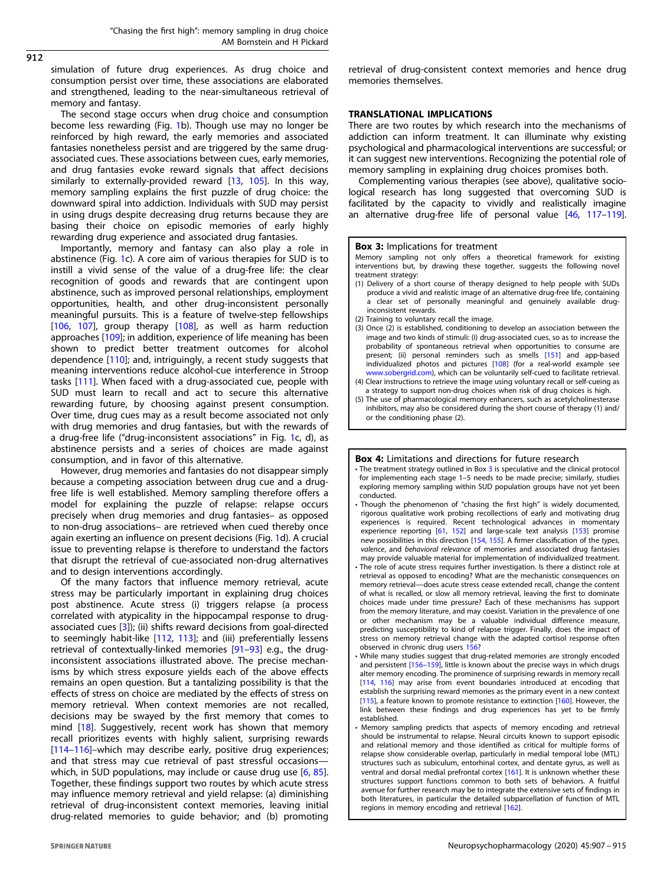simulation of future drug experiences. As drug choice and consumption persist over time, these associations are elaborated and strengthened, leading to the near-simultaneous retrieval of memory and fantasy.

The second stage occurs when drug choice and consumption become less rewarding (Fig. [1b](#page-4-0)). Though use may no longer be reinforced by high reward, the early memories and associated fantasies nonetheless persist and are triggered by the same drugassociated cues. These associations between cues, early memories, and drug fantasies evoke reward signals that affect decisions similarly to externally-provided reward [\[13](#page-6-0), [105](#page-8-0)]. In this way, memory sampling explains the first puzzle of drug choice: the downward spiral into addiction. Individuals with SUD may persist in using drugs despite decreasing drug returns because they are basing their choice on episodic memories of early highly rewarding drug experience and associated drug fantasies.

Importantly, memory and fantasy can also play a role in abstinence (Fig. [1](#page-4-0)c). A core aim of various therapies for SUD is to instill a vivid sense of the value of a drug-free life: the clear recognition of goods and rewards that are contingent upon abstinence, such as improved personal relationships, employment opportunities, health, and other drug-inconsistent personally meaningful pursuits. This is a feature of twelve-step fellowships [[106,](#page-8-0) [107](#page-8-0)], group therapy [\[108\]](#page-8-0), as well as harm reduction approaches [\[109](#page-8-0)]; in addition, experience of life meaning has been shown to predict better treatment outcomes for alcohol dependence [[110](#page-8-0)]; and, intriguingly, a recent study suggests that meaning interventions reduce alcohol-cue interference in Stroop tasks [[111](#page-8-0)]. When faced with a drug-associated cue, people with SUD must learn to recall and act to secure this alternative rewarding future, by choosing against present consumption. Over time, drug cues may as a result become associated not only with drug memories and drug fantasies, but with the rewards of a drug-free life ("drug-inconsistent associations" in Fig. [1c](#page-4-0), d), as abstinence persists and a series of choices are made against consumption, and in favor of this alternative.

However, drug memories and fantasies do not disappear simply because a competing association between drug cue and a drugfree life is well established. Memory sampling therefore offers a model for explaining the puzzle of relapse: relapse occurs precisely when drug memories and drug fantasies– as opposed to non-drug associations– are retrieved when cued thereby once again exerting an influence on present decisions (Fig. [1](#page-4-0)d). A crucial issue to preventing relapse is therefore to understand the factors that disrupt the retrieval of cue-associated non-drug alternatives and to design interventions accordingly.

Of the many factors that influence memory retrieval, acute stress may be particularly important in explaining drug choices post abstinence. Acute stress (i) triggers relapse (a process correlated with atypicality in the hippocampal response to drugassociated cues [\[3\]](#page-6-0)); (ii) shifts reward decisions from goal-directed to seemingly habit-like [[112](#page-8-0), [113\]](#page-8-0); and (iii) preferentially lessens retrieval of contextually-linked memories [\[91](#page-7-0)–[93\]](#page-7-0) e.g., the druginconsistent associations illustrated above. The precise mechanisms by which stress exposure yields each of the above effects remains an open question. But a tantalizing possibility is that the effects of stress on choice are mediated by the effects of stress on memory retrieval. When context memories are not recalled, decisions may be swayed by the first memory that comes to mind [\[18](#page-6-0)]. Suggestively, recent work has shown that memory recall prioritizes events with highly salient, surprising rewards [[114](#page-8-0)–[116\]](#page-8-0)–which may describe early, positive drug experiences; and that stress may cue retrieval of past stressful occasions— which, in SUD populations, may include or cause drug use [[6,](#page-6-0) [85](#page-7-0)]. Together, these findings support two routes by which acute stress may influence memory retrieval and yield relapse: (a) diminishing retrieval of drug-inconsistent context memories, leaving initial drug-related memories to guide behavior; and (b) promoting retrieval of drug-consistent context memories and hence drug memories themselves.

## TRANSLATIONAL IMPLICATIONS

There are two routes by which research into the mechanisms of addiction can inform treatment. It can illuminate why existing psychological and pharmacological interventions are successful; or it can suggest new interventions. Recognizing the potential role of memory sampling in explaining drug choices promises both.

Complementing various therapies (see above), qualitative sociological research has long suggested that overcoming SUD is facilitated by the capacity to vividly and realistically imagine an alternative drug-free life of personal value [\[46](#page-7-0), [117](#page-8-0)–[119](#page-8-0)].

#### **Box 3: Implications for treatment**

Memory sampling not only offers a theoretical framework for existing interventions but, by drawing these together, suggests the following novel treatment strategy:

- (1) Delivery of a short course of therapy designed to help people with SUDs produce a vivid and realistic image of an alternative drug-free life, containing a clear set of personally meaningful and genuinely available druginconsistent rewards.
- (2) Training to voluntary recall the image.
- (3) Once (2) is established, conditioning to develop an association between the image and two kinds of stimuli: (i) drug-associated cues, so as to increase the probability of spontaneous retrieval when opportunities to consume are present; (ii) personal reminders such as smells [\[151](#page-8-0)] and app-based individualized photos and pictures [[108](#page-8-0)] (for a real-world example see [www.sobergrid.com\)](http://www.sobergrid.com), which can be voluntarily self-cued to facilitate retrieval.
- (4) Clear instructions to retrieve the image using voluntary recall or self-cueing as a strategy to support non-drug choices when risk of drug choices is high.
- (5) The use of pharmacological memory enhancers, such as acetylcholinesterase inhibitors, may also be considered during the short course of therapy (1) and/ or the conditioning phase (2).

#### Box 4: Limitations and directions for future research

- The treatment strategy outlined in Box 3 is speculative and the clinical protocol for implementing each stage 1–5 needs to be made precise; similarly, studies exploring memory sampling within SUD population groups have not yet been conducted.
- Though the phenomenon of "chasing the first high" is widely documented, rigorous qualitative work probing recollections of early and motivating drug experiences is required. Recent technological advances in momentary experience reporting [\[61](#page-7-0), [152](#page-8-0)] and large-scale text analysis [\[153\]](#page-8-0) promise new possibilities in this direction [[154](#page-8-0), [155\]](#page-8-0). A firmer classification of the types, valence, and behavioral relevance of memories and associated drug fantasies may provide valuable material for implementation of individualized treatment.
- The role of acute stress requires further investigation. Is there a distinct role at retrieval as opposed to encoding? What are the mechanistic consequences on memory retrieval—does acute stress cease extended recall, change the content of what is recalled, or slow all memory retrieval, leaving the first to dominate choices made under time pressure? Each of these mechanisms has support from the memory literature, and may coexist. Variation in the prevalence of one or other mechanism may be a valuable individual difference measure, predicting susceptibility to kind of relapse trigger. Finally, does the impact of stress on memory retrieval change with the adapted cortisol response often observed in chronic drug users [156?](#page-8-0)
- While many studies suggest that drug-related memories are strongly encoded and persistent [\[156](#page-8-0)–[159](#page-8-0)], little is known about the precise ways in which drugs alter memory encoding. The prominence of surprising rewards in memory recall [\[114](#page-8-0), [116](#page-8-0)] may arise from event boundaries introduced at encoding that establish the surprising reward memories as the primary event in a new context [\[115](#page-8-0)], a feature known to promote resistance to extinction [\[160\]](#page-8-0). However, the link between these findings and drug experiences has yet to be firmly established.
- Memory sampling predicts that aspects of memory encoding and retrieval should be instrumental to relapse. Neural circuits known to support episodic and relational memory and those identified as critical for multiple forms of relapse show considerable overlap, particularly in medial temporal lobe (MTL) structures such as subiculum, entorhinal cortex, and dentate gyrus, as well as ventral and dorsal medial prefrontal cortex [[161\]](#page-8-0). It is unknown whether these structures support functions common to both sets of behaviors. A fruitful avenue for further research may be to integrate the extensive sets of findings in both literatures, in particular the detailed subparcellation of function of MTL regions in memory encoding and retrieval [\[162](#page-8-0)].

 $912$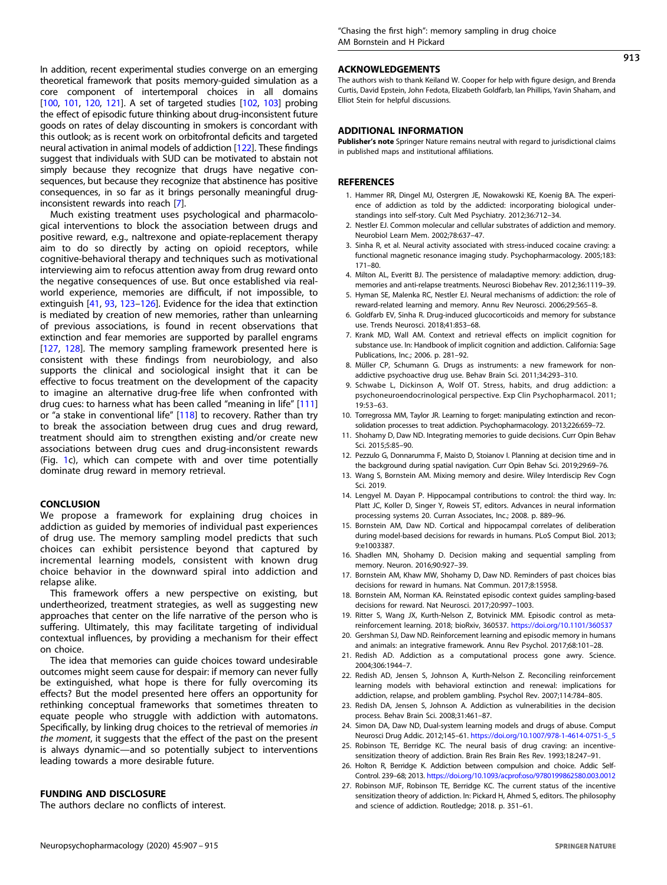<span id="page-6-0"></span>In addition, recent experimental studies converge on an emerging theoretical framework that posits memory-guided simulation as a core component of intertemporal choices in all domains [\[100,](#page-8-0) [101](#page-8-0), [120](#page-8-0), [121\]](#page-8-0). A set of targeted studies [[102,](#page-8-0) [103\]](#page-8-0) probing the effect of episodic future thinking about drug-inconsistent future goods on rates of delay discounting in smokers is concordant with this outlook; as is recent work on orbitofrontal deficits and targeted neural activation in animal models of addiction [\[122\]](#page-8-0). These findings suggest that individuals with SUD can be motivated to abstain not simply because they recognize that drugs have negative consequences, but because they recognize that abstinence has positive consequences, in so far as it brings personally meaningful druginconsistent rewards into reach [7].

Much existing treatment uses psychological and pharmacological interventions to block the association between drugs and positive reward, e.g., naltrexone and opiate-replacement therapy aim to do so directly by acting on opioid receptors, while cognitive-behavioral therapy and techniques such as motivational interviewing aim to refocus attention away from drug reward onto the negative consequences of use. But once established via realworld experience, memories are difficult, if not impossible, to extinguish [[41](#page-7-0), [93,](#page-7-0) [123](#page-8-0)–[126](#page-8-0)]. Evidence for the idea that extinction is mediated by creation of new memories, rather than unlearning of previous associations, is found in recent observations that extinction and fear memories are supported by parallel engrams [\[127](#page-8-0), [128\]](#page-8-0). The memory sampling framework presented here is consistent with these findings from neurobiology, and also supports the clinical and sociological insight that it can be effective to focus treatment on the development of the capacity to imagine an alternative drug-free life when confronted with drug cues: to harness what has been called "meaning in life" [[111](#page-8-0)] or "a stake in conventional life" [\[118\]](#page-8-0) to recovery. Rather than try to break the association between drug cues and drug reward, treatment should aim to strengthen existing and/or create new associations between drug cues and drug-inconsistent rewards (Fig. [1](#page-4-0)c), which can compete with and over time potentially dominate drug reward in memory retrieval.

#### **CONCLUSION**

We propose a framework for explaining drug choices in addiction as guided by memories of individual past experiences of drug use. The memory sampling model predicts that such choices can exhibit persistence beyond that captured by incremental learning models, consistent with known drug choice behavior in the downward spiral into addiction and relapse alike.

This framework offers a new perspective on existing, but undertheorized, treatment strategies, as well as suggesting new approaches that center on the life narrative of the person who is suffering. Ultimately, this may facilitate targeting of individual contextual influences, by providing a mechanism for their effect on choice.

The idea that memories can guide choices toward undesirable outcomes might seem cause for despair: if memory can never fully be extinguished, what hope is there for fully overcoming its effects? But the model presented here offers an opportunity for rethinking conceptual frameworks that sometimes threaten to equate people who struggle with addiction with automatons. Specifically, by linking drug choices to the retrieval of memories in the moment, it suggests that the effect of the past on the present is always dynamic—and so potentially subject to interventions leading towards a more desirable future.

## FUNDING AND DISCLOSURE

The authors declare no conflicts of interest.

#### ACKNOWLEDGEMENTS

The authors wish to thank Keiland W. Cooper for help with figure design, and Brenda Curtis, David Epstein, John Fedota, Elizabeth Goldfarb, Ian Phillips, Yavin Shaham, and Elliot Stein for helpful discussions.

## ADDITIONAL INFORMATION

Publisher's note Springer Nature remains neutral with regard to jurisdictional claims in published maps and institutional affiliations.

#### **REFERENCES**

- 1. Hammer RR, Dingel MJ, Ostergren JE, Nowakowski KE, Koenig BA. The experience of addiction as told by the addicted: incorporating biological understandings into self-story. Cult Med Psychiatry. 2012;36:712–34.
- 2. Nestler EJ. Common molecular and cellular substrates of addiction and memory. Neurobiol Learn Mem. 2002;78:637–47.
- 3. Sinha R, et al. Neural activity associated with stress-induced cocaine craving: a functional magnetic resonance imaging study. Psychopharmacology. 2005;183: 171–80.
- 4. Milton AL, Everitt BJ. The persistence of maladaptive memory: addiction, drugmemories and anti-relapse treatments. Neurosci Biobehav Rev. 2012;36:1119–39.
- 5. Hyman SE, Malenka RC, Nestler EJ. Neural mechanisms of addiction: the role of reward-related learning and memory. Annu Rev Neurosci. 2006;29:565–8.
- 6. Goldfarb EV, Sinha R. Drug-induced glucocorticoids and memory for substance use. Trends Neurosci. 2018;41:853–68.
- 7. Krank MD, Wall AM. Context and retrieval effects on implicit cognition for substance use. In: Handbook of implicit cognition and addiction. California: Sage Publications, Inc.; 2006. p. 281–92.
- 8. Müller CP, Schumann G. Drugs as instruments: a new framework for nonaddictive psychoactive drug use. Behav Brain Sci. 2011;34:293–310.
- 9. Schwabe L, Dickinson A, Wolf OT. Stress, habits, and drug addiction: a psychoneuroendocrinological perspective. Exp Clin Psychopharmacol. 2011; 19:53–63.
- 10. Torregrossa MM, Taylor JR. Learning to forget: manipulating extinction and reconsolidation processes to treat addiction. Psychopharmacology. 2013;226:659–72.
- 11. Shohamy D, Daw ND. Integrating memories to guide decisions. Curr Opin Behav Sci. 2015;5:85–90.
- 12. Pezzulo G, Donnarumma F, Maisto D, Stoianov I. Planning at decision time and in the background during spatial navigation. Curr Opin Behav Sci. 2019;29:69–76.
- 13. Wang S, Bornstein AM. Mixing memory and desire. Wiley Interdiscip Rev Cogn Sci. 2019.
- 14. Lengyel M. Dayan P. Hippocampal contributions to control: the third way. In: Platt JC, Koller D, Singer Y, Roweis ST, editors. Advances in neural information processing systems 20. Curran Associates, Inc.; 2008. p. 889–96.
- 15. Bornstein AM, Daw ND. Cortical and hippocampal correlates of deliberation during model-based decisions for rewards in humans. PLoS Comput Biol. 2013; 9:e1003387.
- 16. Shadlen MN, Shohamy D. Decision making and sequential sampling from memory. Neuron. 2016;90:927–39.
- 17. Bornstein AM, Khaw MW, Shohamy D, Daw ND. Reminders of past choices bias decisions for reward in humans. Nat Commun. 2017;8:15958.
- 18. Bornstein AM, Norman KA. Reinstated episodic context guides sampling-based decisions for reward. Nat Neurosci. 2017;20:997–1003.
- 19. Ritter S, Wang JX, Kurth-Nelson Z, Botvinick MM. Episodic control as metareinforcement learning. 2018; bioRxiv, 360537. <https://doi.org/10.1101/360537>
- 20. Gershman SJ, Daw ND. Reinforcement learning and episodic memory in humans and animals: an integrative framework. Annu Rev Psychol. 2017;68:101–28.
- 21. Redish AD. Addiction as a computational process gone awry. Science. 2004;306:1944–7.
- 22. Redish AD, Jensen S, Johnson A, Kurth-Nelson Z. Reconciling reinforcement learning models with behavioral extinction and renewal: implications for addiction, relapse, and problem gambling. Psychol Rev. 2007;114:784–805.
- 23. Redish DA, Jensen S, Johnson A. Addiction as vulnerabilities in the decision process. Behav Brain Sci. 2008;31:461–87.
- 24. Simon DA, Daw ND, Dual-system learning models and drugs of abuse. Comput Neurosci Drug Addic. 2012;145–61. [https://doi.org/10.1007/978-1-4614-0751-5\\_5](https://doi.org/10.1007/978-1-4614-0751-5_5)
- 25. Robinson TE, Berridge KC. The neural basis of drug craving: an incentivesensitization theory of addiction. Brain Res Brain Res Rev. 1993;18:247–91.
- 26. Holton R, Berridge K. Addiction between compulsion and choice. Addic Self-Control. 239–68; 2013. <https://doi.org/10.1093/acprof:oso/9780199862580.003.0012>
- 27. Robinson MJF, Robinson TE, Berridge KC. The current status of the incentive sensitization theory of addiction. In: Pickard H, Ahmed S, editors. The philosophy and science of addiction. Routledge; 2018. p. 351–61.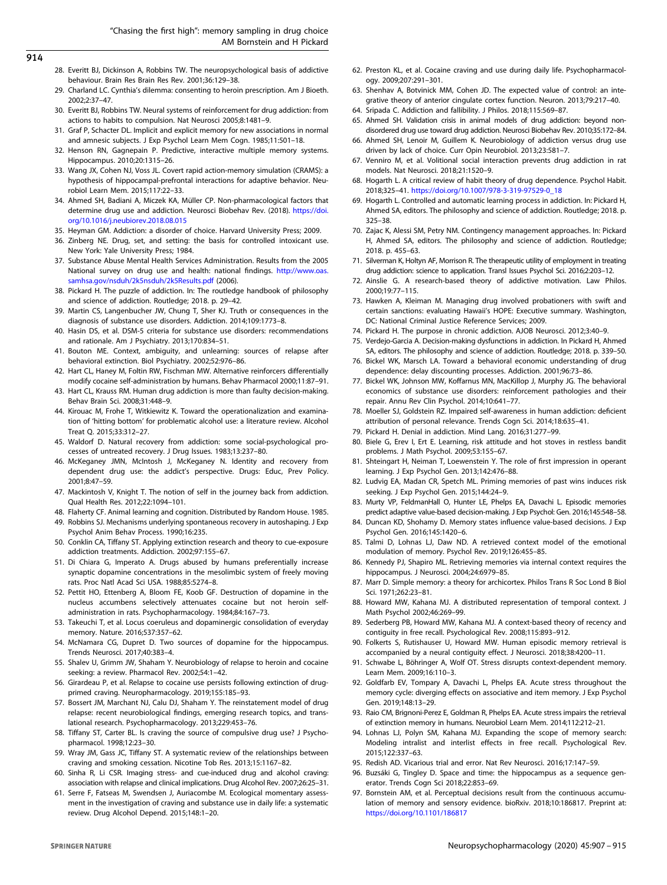<span id="page-7-0"></span>914

- 28. Everitt BJ, Dickinson A, Robbins TW. The neuropsychological basis of addictive behaviour. Brain Res Brain Res Rev. 2001;36:129–38.
- 29. Charland LC. Cynthia's dilemma: consenting to heroin prescription. Am J Bioeth. 2002;2:37–47.
- 30. Everitt BJ, Robbins TW. Neural systems of reinforcement for drug addiction: from actions to habits to compulsion. Nat Neurosci 2005;8:1481–9.
- 31. Graf P, Schacter DL. Implicit and explicit memory for new associations in normal and amnesic subjects. J Exp Psychol Learn Mem Cogn. 1985;11:501–18.
- 32. Henson RN, Gagnepain P. Predictive, interactive multiple memory systems. Hippocampus. 2010;20:1315–26.
- 33. Wang JX, Cohen NJ, Voss JL. Covert rapid action-memory simulation (CRAMS): a hypothesis of hippocampal-prefrontal interactions for adaptive behavior. Neurobiol Learn Mem. 2015;117:22–33.
- 34. Ahmed SH, Badiani A, Miczek KA, Müller CP. Non-pharmacological factors that determine drug use and addiction. Neurosci Biobehav Rev. (2018). [https://doi.](https://doi.org/10.1016/j.neubiorev.2018.08.015) [org/10.1016/j.neubiorev.2018.08.015](https://doi.org/10.1016/j.neubiorev.2018.08.015)
- 35. Heyman GM. Addiction: a disorder of choice. Harvard University Press; 2009.
- 36. Zinberg NE. Drug, set, and setting: the basis for controlled intoxicant use. New York: Yale University Press; 1984.
- 37. Substance Abuse Mental Health Services Administration. Results from the 2005 National survey on drug use and health: national findings. [http://www.oas.](http://www.oas.samhsa.gov/nsduh/2k5nsduh/2k5Results.pdf) [samhsa.gov/nsduh/2k5nsduh/2k5Results.pdf](http://www.oas.samhsa.gov/nsduh/2k5nsduh/2k5Results.pdf) (2006).
- 38. Pickard H. The puzzle of addiction. In: The routledge handbook of philosophy and science of addiction. Routledge; 2018. p. 29–42.
- 39. Martin CS, Langenbucher JW, Chung T, Sher KJ. Truth or consequences in the diagnosis of substance use disorders. Addiction. 2014;109:1773–8.
- 40. Hasin DS, et al. DSM-5 criteria for substance use disorders: recommendations and rationale. Am J Psychiatry. 2013;170:834–51.
- 41. Bouton ME. Context, ambiguity, and unlearning: sources of relapse after behavioral extinction. Biol Psychiatry. 2002;52:976–86.
- 42. Hart CL, Haney M, Foltin RW, Fischman MW. Alternative reinforcers differentially modify cocaine self-administration by humans. Behav Pharmacol 2000;11:87–91.
- 43. Hart CL, Krauss RM. Human drug addiction is more than faulty decision-making. Behav Brain Sci. 2008;31:448–9.
- 44. Kirouac M, Frohe T, Witkiewitz K. Toward the operationalization and examination of 'hitting bottom' for problematic alcohol use: a literature review. Alcohol Treat Q. 2015;33:312–27.
- 45. Waldorf D. Natural recovery from addiction: some social-psychological processes of untreated recovery. J Drug Issues. 1983;13:237–80.
- 46. McKeganey JMN, McIntosh J, McKeganey N. Identity and recovery from dependent drug use: the addict's perspective. Drugs: Educ, Prev Policy. 2001;8:47–59.
- 47. Mackintosh V, Knight T. The notion of self in the journey back from addiction. Qual Health Res. 2012;22:1094–101.
- 48. Flaherty CF. Animal learning and cognition. Distributed by Random House. 1985.
- 49. Robbins SJ. Mechanisms underlying spontaneous recovery in autoshaping. J Exp Psychol Anim Behav Process. 1990;16:235.
- 50. Conklin CA, Tiffany ST. Applying extinction research and theory to cue-exposure addiction treatments. Addiction. 2002;97:155–67.
- 51. Di Chiara G, Imperato A. Drugs abused by humans preferentially increase synaptic dopamine concentrations in the mesolimbic system of freely moving rats. Proc Natl Acad Sci USA. 1988;85:5274–8.
- 52. Pettit HO, Ettenberg A, Bloom FE, Koob GF. Destruction of dopamine in the nucleus accumbens selectively attenuates cocaine but not heroin selfadministration in rats. Psychopharmacology. 1984;84:167–73.
- 53. Takeuchi T, et al. Locus coeruleus and dopaminergic consolidation of everyday memory. Nature. 2016;537:357–62.
- 54. McNamara CG, Dupret D. Two sources of dopamine for the hippocampus. Trends Neurosci. 2017;40:383–4.
- 55. Shalev U, Grimm JW, Shaham Y. Neurobiology of relapse to heroin and cocaine seeking: a review. Pharmacol Rev. 2002;54:1–42.
- 56. Girardeau P, et al. Relapse to cocaine use persists following extinction of drugprimed craving. Neuropharmacology. 2019;155:185–93.
- 57. Bossert JM, Marchant NJ, Calu DJ, Shaham Y. The reinstatement model of drug relapse: recent neurobiological findings, emerging research topics, and translational research. Psychopharmacology. 2013;229:453–76.
- 58. Tiffany ST, Carter BL. Is craving the source of compulsive drug use? J Psychopharmacol. 1998;12:23–30.
- 59. Wray JM, Gass JC, Tiffany ST. A systematic review of the relationships between craving and smoking cessation. Nicotine Tob Res. 2013;15:1167–82.
- 60. Sinha R, Li CSR. Imaging stress- and cue-induced drug and alcohol craving: association with relapse and clinical implications. Drug Alcohol Rev. 2007;26:25–31.
- 61. Serre F, Fatseas M, Swendsen J, Auriacombe M. Ecological momentary assessment in the investigation of craving and substance use in daily life: a systematic review. Drug Alcohol Depend. 2015;148:1–20.
- 62. Preston KL, et al. Cocaine craving and use during daily life. Psychopharmacology. 2009;207:291–301.
- 63. Shenhav A, Botvinick MM, Cohen JD. The expected value of control: an integrative theory of anterior cingulate cortex function. Neuron. 2013;79:217–40.
- 64. Sripada C. Addiction and fallibility. J Philos. 2018;115:569–87.
- 65. Ahmed SH. Validation crisis in animal models of drug addiction: beyond nondisordered drug use toward drug addiction. Neurosci Biobehav Rev. 2010;35:172–84. 66. Ahmed SH, Lenoir M, Guillem K. Neurobiology of addiction versus drug use
- driven by lack of choice. Curr Opin Neurobiol. 2013;23:581–7.
- 67. Venniro M, et al. Volitional social interaction prevents drug addiction in rat models. Nat Neurosci. 2018;21:1520–9.
- 68. Hogarth L. A critical review of habit theory of drug dependence. Psychol Habit. 2018;325–41. [https://doi.org/10.1007/978-3-319-97529-0\\_18](https://doi.org/10.1007/978-3-319-97529-0_18)
- 69. Hogarth L. Controlled and automatic learning process in addiction. In: Pickard H, Ahmed SA, editors. The philosophy and science of addiction. Routledge; 2018. p. 325–38.
- 70. Zajac K, Alessi SM, Petry NM. Contingency management approaches. In: Pickard H, Ahmed SA, editors. The philosophy and science of addiction. Routledge; 2018. p. 455–63.
- 71. Silverman K, Holtyn AF, Morrison R. The therapeutic utility of employment in treating drug addiction: science to application. Transl Issues Psychol Sci. 2016;2:203–12.
- 72. Ainslie G. A research-based theory of addictive motivation. Law Philos. 2000;19:77–115.
- 73. Hawken A, Kleiman M. Managing drug involved probationers with swift and certain sanctions: evaluating Hawaii's HOPE: Executive summary. Washington, DC: National Criminal Justice Reference Services; 2009.
- 74. Pickard H. The purpose in chronic addiction. AJOB Neurosci. 2012;3:40–9.
- 75. Verdejo-Garcia A. Decision-making dysfunctions in addiction. In Pickard H, Ahmed
- SA, editors. The philosophy and science of addiction. Routledge; 2018. p. 339–50. 76. Bickel WK, Marsch LA. Toward a behavioral economic understanding of drug
- dependence: delay discounting processes. Addiction. 2001;96:73–86. 77. Bickel WK, Johnson MW, Koffarnus MN, MacKillop J, Murphy JG. The behavioral economics of substance use disorders: reinforcement pathologies and their repair. Annu Rev Clin Psychol. 2014;10:641–77.
- 78. Moeller SJ, Goldstein RZ. Impaired self-awareness in human addiction: deficient attribution of personal relevance. Trends Cogn Sci. 2014;18:635–41.
- 79. Pickard H. Denial in addiction. Mind Lang. 2016;31:277–99.
- 80. Biele G, Erev I, Ert E. Learning, risk attitude and hot stoves in restless bandit problems. J Math Psychol. 2009;53:155–67.
- 81. Shteingart H, Neiman T, Loewenstein Y. The role of first impression in operant learning. J Exp Psychol Gen. 2013;142:476–88.
- 82. Ludvig EA, Madan CR, Spetch ML. Priming memories of past wins induces risk seeking. J Exp Psychol Gen. 2015;144:24–9.
- 83. Murty VP, FeldmanHall O, Hunter LE, Phelps EA, Davachi L. Episodic memories predict adaptive value-based decision-making. J Exp Psychol: Gen. 2016;145:548–58.
- 84. Duncan KD, Shohamy D. Memory states influence value-based decisions. J Exp Psychol Gen. 2016;145:1420–6.
- 85. Talmi D, Lohnas LJ, Daw ND. A retrieved context model of the emotional modulation of memory. Psychol Rev. 2019;126:455–85.
- 86. Kennedy PJ, Shapiro ML. Retrieving memories via internal context requires the hippocampus. J Neurosci. 2004;24:6979–85.
- 87. Marr D. Simple memory: a theory for archicortex. Philos Trans R Soc Lond B Biol Sci. 1971;262:23–81.
- 88. Howard MW, Kahana MJ. A distributed representation of temporal context. J Math Psychol 2002;46:269–99.
- 89. Sederberg PB, Howard MW, Kahana MJ. A context-based theory of recency and contiguity in free recall. Psychological Rev. 2008;115:893–912.
- 90. Folkerts S, Rutishauser U, Howard MW. Human episodic memory retrieval is accompanied by a neural contiguity effect. J Neurosci. 2018;38:4200–11.
- 91. Schwabe L, Böhringer A, Wolf OT. Stress disrupts context-dependent memory. Learn Mem. 2009;16:110–3.
- 92. Goldfarb EV, Tompary A, Davachi L, Phelps EA. Acute stress throughout the memory cycle: diverging effects on associative and item memory. J Exp Psychol Gen. 2019;148:13–29.
- 93. Raio CM, Brignoni-Perez E, Goldman R, Phelps EA. Acute stress impairs the retrieval of extinction memory in humans. Neurobiol Learn Mem. 2014;112:212–21.
- 94. Lohnas LJ, Polyn SM, Kahana MJ. Expanding the scope of memory search: Modeling intralist and interlist effects in free recall. Psychological Rev. 2015;122:337–63.
- 95. Redish AD. Vicarious trial and error. Nat Rev Neurosci. 2016;17:147–59.
- 96. Buzsáki G, Tingley D. Space and time: the hippocampus as a sequence generator. Trends Cogn Sci 2018;22:853–69.
- 97. Bornstein AM, et al. Perceptual decisions result from the continuous accumulation of memory and sensory evidence. bioRxiv. 2018;10:186817. Preprint at: <https://doi.org/10.1101/186817>